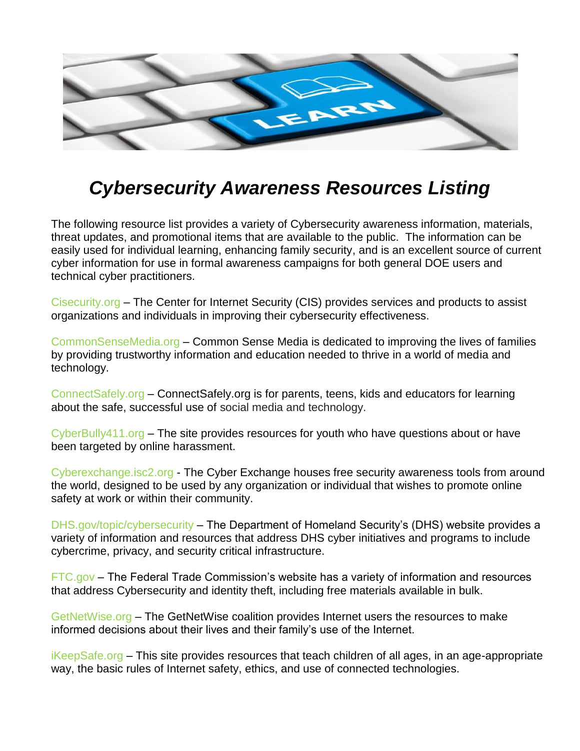

## *Cybersecurity Awareness Resources Listing*

The following resource list provides a variety of Cybersecurity awareness information, materials, threat updates, and promotional items that are available to the public. The information can be easily used for individual learning, enhancing family security, and is an excellent source of current cyber information for use in formal awareness campaigns for both general DOE users and technical cyber practitioners.

Cisecurity.org – The Center for Internet Security (CIS) provides services and products to assist organizations and individuals in improving their cybersecurity effectiveness.

CommonSenseMedia.org – Common Sense Media is dedicated to improving the lives of families by providing trustworthy information and education needed to thrive in a world of media and technology.

ConnectSafely.org – ConnectSafely.org is for parents, teens, kids and educators for learning about the safe, successful use of social media and technology.

 $CyberBully411.org - The site provides resources for youth who have questions about or have$ been targeted by online harassment.

Cyberexchange.isc2.org - The Cyber Exchange houses free security awareness tools from around the world, designed to be used by any organization or individual that wishes to promote online safety at work or within their community.

DHS.gov/topic/cybersecurity – The Department of Homeland Security's (DHS) website provides a variety of information and resources that address DHS cyber initiatives and programs to include cybercrime, privacy, and security critical infrastructure.

FTC.gov – The Federal Trade Commission's website has a variety of information and resources that address Cybersecurity and identity theft, including free materials available in bulk.

GetNetWise.org – The GetNetWise coalition provides Internet users the resources to make informed decisions about their lives and their family's use of the Internet.

iKeepSafe.org – This site provides resources that teach children of all ages, in an age-appropriate way, the basic rules of Internet safety, ethics, and use of connected technologies.